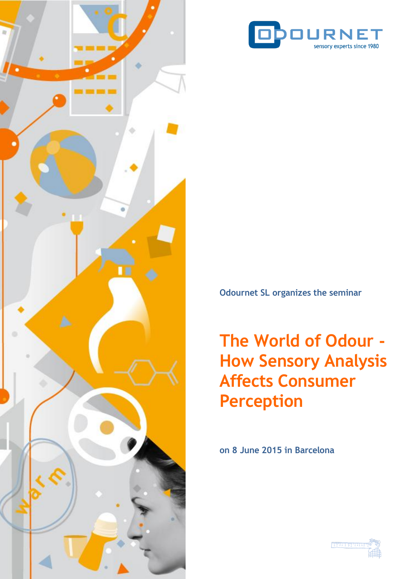



**Odournet SL organizes the seminar**

**The World of Odour - How Sensory Analysis Affects Consumer Perception**

**on 8 June 2015 in Barcelona**

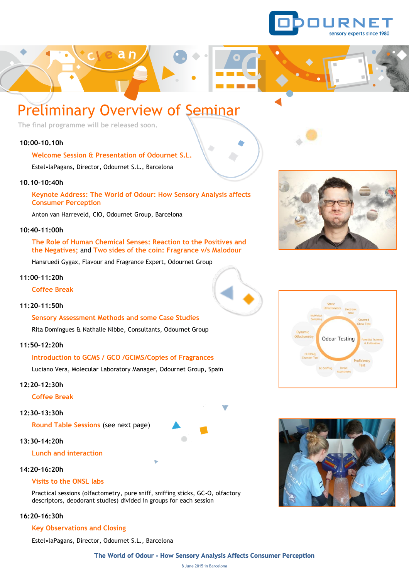

## Preliminary Overview of Seminar

a n

**The final programme will be released soon.**

#### **10:00-10.10h**

**Welcome Session & Presentation of Odournet S.L.** 

Estel•laPagans, Director, Odournet S.L., Barcelona

#### **10.10-10:40h**

#### **Keynote Address: The World of Odour: How Sensory Analysis affects Consumer Perception**

Anton van Harreveld, CIO, Odournet Group, Barcelona

#### **10:40-11:00h**

**The Role of Human Chemical Senses: Reaction to the Positives and the Negatives;** and **Two sides of the coin: Fragrance v/s Malodour**

Hansruedi Gygax, Flavour and Fragrance Expert, Odournet Group

#### **11:00–11:20h**

**Coffee Break**

#### **11:20-11:50h**

**Sensory Assessment Methods and some Case Studies**

Rita Domingues & Nathalie Nibbe, Consultants, Odournet Group

#### **11:50–12:20h**

#### **Introduction to GCMS / GCO /GCIMS/Copies of Fragrances**

Luciano Vera, Molecular Laboratory Manager, Odournet Group, Spain

#### **12:20–12:30h**

**Coffee Break**

#### **12:30–13:30h**

**Round Table Sessions** (see next page)

#### **13:30–14:20h**

#### **Lunch and interaction**

#### **14:20–16:20h**

#### **Visits to the ONSL labs**

Practical sessions (olfactometry, pure sniff, sniffing sticks, GC-O, olfactory descriptors, deodorant studies) divided in groups for each session

#### **16:20–16:30h**

#### **Key Observations and Closing**

Estel•laPagans, Director, Odournet S.L., Barcelona